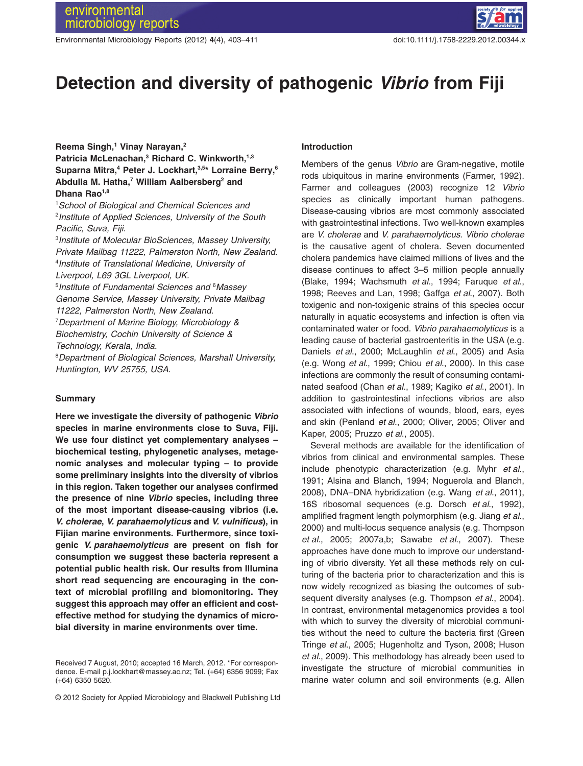Environmental Microbiology Reports (2012) **4**(4), 403–411 doi:10.1111/j.1758-2229.2012.00344.x



# **Detection and diversity of pathogenic** *Vibrio* **from Fiji**

# **Reema Singh,1 Vinay Narayan,2** Patricia McLenachan,<sup>3</sup> Richard C. Winkworth,<sup>1,3</sup> Suparna Mitra,<sup>4</sup> Peter J. Lockhart,<sup>3,5\*</sup> Lorraine Berry,<sup>6</sup> Abdulla M. Hatha,<sup>7</sup> William Aalbersberg<sup>2</sup> and **Dhana Rao1,8**

1 *School of Biological and Chemical Sciences and* 2 *Institute of Applied Sciences, University of the South Pacific, Suva, Fiji.*

3 *Institute of Molecular BioSciences, Massey University, Private Mailbag 11222, Palmerston North, New Zealand.* 4 *Institute of Translational Medicine, University of Liverpool, L69 3GL Liverpool, UK.*

5 *Institute of Fundamental Sciences and* <sup>6</sup> *Massey Genome Service, Massey University, Private Mailbag 11222, Palmerston North, New Zealand.*

7 *Department of Marine Biology, Microbiology & Biochemistry, Cochin University of Science & Technology, Kerala, India.*

8 *Department of Biological Sciences, Marshall University, Huntington, WV 25755, USA.*

#### **Summary**

**Here we investigate the diversity of pathogenic** *Vibrio* **species in marine environments close to Suva, Fiji. We use four distinct yet complementary analyses – biochemical testing, phylogenetic analyses, metagenomic analyses and molecular typing – to provide some preliminary insights into the diversity of vibrios in this region. Taken together our analyses confirmed the presence of nine** *Vibrio* **species, including three of the most important disease-causing vibrios (i.e.** *V. cholerae***,** *V. parahaemolyticus* **and** *V. vulnificus***), in Fijian marine environments. Furthermore, since toxigenic** *V. parahaemolyticus* **are present on fish for consumption we suggest these bacteria represent a potential public health risk. Our results from Illumina short read sequencing are encouraging in the context of microbial profiling and biomonitoring. They suggest this approach may offer an efficient and costeffective method for studying the dynamics of microbial diversity in marine environments over time.**

#### **Introduction**

Members of the genus *Vibrio* are Gram-negative, motile rods ubiquitous in marine environments (Farmer, 1992). Farmer and colleagues (2003) recognize 12 *Vibrio* species as clinically important human pathogens. Disease-causing vibrios are most commonly associated with gastrointestinal infections. Two well-known examples are *V. cholerae* and *V. parahaemolyticus*. *Vibrio cholerae* is the causative agent of cholera. Seven documented cholera pandemics have claimed millions of lives and the disease continues to affect 3–5 million people annually (Blake, 1994; Wachsmuth *et al*., 1994; Faruque *et al*., 1998; Reeves and Lan, 1998; Gaffga *et al*., 2007). Both toxigenic and non-toxigenic strains of this species occur naturally in aquatic ecosystems and infection is often via contaminated water or food. *Vibrio parahaemolyticus* is a leading cause of bacterial gastroenteritis in the USA (e.g. Daniels *et al*., 2000; McLaughlin *et al*., 2005) and Asia (e.g. Wong *et al*., 1999; Chiou *et al*., 2000). In this case infections are commonly the result of consuming contaminated seafood (Chan *et al*., 1989; Kagiko *et al*., 2001). In addition to gastrointestinal infections vibrios are also associated with infections of wounds, blood, ears, eyes and skin (Penland *et al*., 2000; Oliver, 2005; Oliver and Kaper, 2005; Pruzzo *et al*., 2005).

Several methods are available for the identification of vibrios from clinical and environmental samples. These include phenotypic characterization (e.g. Myhr *et al*., 1991; Alsina and Blanch, 1994; Noguerola and Blanch, 2008), DNA–DNA hybridization (e.g. Wang *et al*., 2011), 16S ribosomal sequences (e.g. Dorsch *et al*., 1992), amplified fragment length polymorphism (e.g. Jiang *et al*., 2000) and multi-locus sequence analysis (e.g. Thompson *et al*., 2005; 2007a,b; Sawabe *et al*., 2007). These approaches have done much to improve our understanding of vibrio diversity. Yet all these methods rely on culturing of the bacteria prior to characterization and this is now widely recognized as biasing the outcomes of subsequent diversity analyses (e.g. Thompson *et al*., 2004). In contrast, environmental metagenomics provides a tool with which to survey the diversity of microbial communities without the need to culture the bacteria first (Green Tringe *et al*., 2005; Hugenholtz and Tyson, 2008; Huson *et al*., 2009). This methodology has already been used to investigate the structure of microbial communities in marine water column and soil environments (e.g. Allen

Received 7 August, 2010; accepted 16 March, 2012. \*For correspondence. E-mail p.j.lockhart@massey.ac.nz; Tel. (+64) 6356 9099; Fax (+64) 6350 5620.

<sup>© 2012</sup> Society for Applied Microbiology and Blackwell Publishing Ltd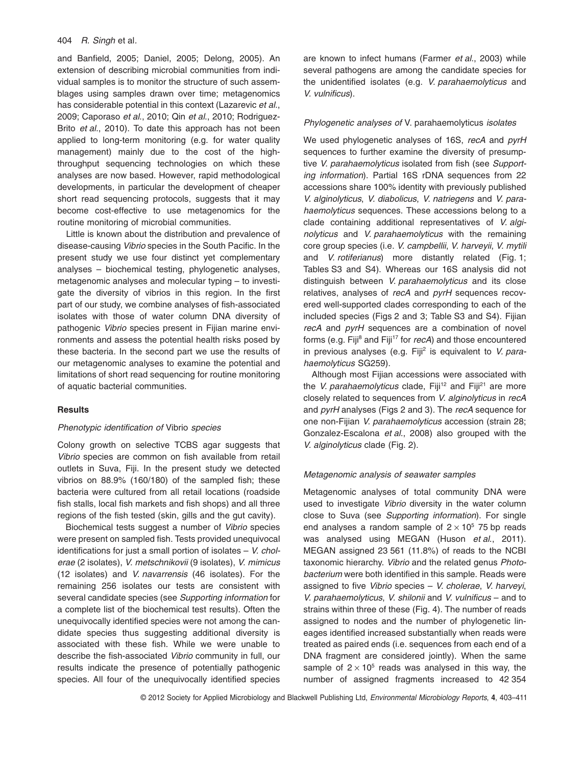#### 404 *R. Singh* et al*.*

and Banfield, 2005; Daniel, 2005; Delong, 2005). An extension of describing microbial communities from individual samples is to monitor the structure of such assemblages using samples drawn over time; metagenomics has considerable potential in this context (Lazarevic *et al*., 2009; Caporaso *et al*., 2010; Qin *et al*., 2010; Rodriguez-Brito *et al*., 2010). To date this approach has not been applied to long-term monitoring (e.g. for water quality management) mainly due to the cost of the highthroughput sequencing technologies on which these analyses are now based. However, rapid methodological developments, in particular the development of cheaper short read sequencing protocols, suggests that it may become cost-effective to use metagenomics for the routine monitoring of microbial communities.

Little is known about the distribution and prevalence of disease-causing *Vibrio* species in the South Pacific. In the present study we use four distinct yet complementary analyses – biochemical testing, phylogenetic analyses, metagenomic analyses and molecular typing – to investigate the diversity of vibrios in this region. In the first part of our study, we combine analyses of fish-associated isolates with those of water column DNA diversity of pathogenic *Vibrio* species present in Fijian marine environments and assess the potential health risks posed by these bacteria. In the second part we use the results of our metagenomic analyses to examine the potential and limitations of short read sequencing for routine monitoring of aquatic bacterial communities.

## **Results**

## *Phenotypic identification of* Vibrio *species*

Colony growth on selective TCBS agar suggests that *Vibrio* species are common on fish available from retail outlets in Suva, Fiji. In the present study we detected vibrios on 88.9% (160/180) of the sampled fish; these bacteria were cultured from all retail locations (roadside fish stalls, local fish markets and fish shops) and all three regions of the fish tested (skin, gills and the gut cavity).

Biochemical tests suggest a number of *Vibrio* species were present on sampled fish. Tests provided unequivocal identifications for just a small portion of isolates – *V. cholerae* (2 isolates), *V. metschnikovii* (9 isolates), *V. mimicus* (12 isolates) and *V. navarrensis* (46 isolates). For the remaining 256 isolates our tests are consistent with several candidate species (see *Supporting information* for a complete list of the biochemical test results). Often the unequivocally identified species were not among the candidate species thus suggesting additional diversity is associated with these fish. While we were unable to describe the fish-associated *Vibrio* community in full, our results indicate the presence of potentially pathogenic species. All four of the unequivocally identified species are known to infect humans (Farmer *et al*., 2003) while several pathogens are among the candidate species for the unidentified isolates (e.g. *V. parahaemolyticus* and *V. vulnificus*).

## *Phylogenetic analyses of* V. parahaemolyticus *isolates*

We used phylogenetic analyses of 16S, *recA* and *pyrH* sequences to further examine the diversity of presumptive *V. parahaemolyticus* isolated from fish (see *Supporting information*). Partial 16S rDNA sequences from 22 accessions share 100% identity with previously published *V. alginolyticus*, *V. diabolicus*, *V. natriegens* and *V. parahaemolyticus* sequences. These accessions belong to a clade containing additional representatives of *V. alginolyticus* and *V. parahaemolyticus* with the remaining core group species (i.e. *V. campbellii*, *V. harveyii*, *V. mytili* and *V. rotiferianus*) more distantly related (Fig. 1; Tables S3 and S4). Whereas our 16S analysis did not distinguish between *V. parahaemolyticus* and its close relatives, analyses of *recA* and *pyrH* sequences recovered well-supported clades corresponding to each of the included species (Figs 2 and 3; Table S3 and S4). Fijian *recA* and *pyrH* sequences are a combination of novel forms (e.g. Fiji<sup>8</sup> and Fiji<sup>17</sup> for *recA*) and those encountered in previous analyses (e.g. Fiji<sup>2</sup> is equivalent to *V. parahaemolyticus* SG259).

Although most Fijian accessions were associated with the *V. parahaemolyticus* clade, Fiji<sup>12</sup> and Fiji<sup>21</sup> are more closely related to sequences from *V. alginolyticus* in *recA* and *pyrH* analyses (Figs 2 and 3). The *recA* sequence for one non-Fijian *V. parahaemolyticus* accession (strain 28; Gonzalez-Escalona *et al*., 2008) also grouped with the *V. alginolyticus* clade (Fig. 2).

#### *Metagenomic analysis of seawater samples*

Metagenomic analyses of total community DNA were used to investigate *Vibrio* diversity in the water column close to Suva (see *Supporting information*). For single end analyses a random sample of  $2 \times 10^5$  75 bp reads was analysed using MEGAN (Huson *et al*., 2011). MEGAN assigned 23 561 (11.8%) of reads to the NCBI taxonomic hierarchy. *Vibrio* and the related genus *Photobacterium* were both identified in this sample. Reads were assigned to five *Vibrio* species – *V. cholerae*, *V. harveyi*, *V. parahaemolyticus*, *V. shilonii* and *V. vulnificus* – and to strains within three of these (Fig. 4). The number of reads assigned to nodes and the number of phylogenetic lineages identified increased substantially when reads were treated as paired ends (i.e. sequences from each end of a DNA fragment are considered jointly). When the same sample of  $2 \times 10^5$  reads was analysed in this way, the number of assigned fragments increased to 42 354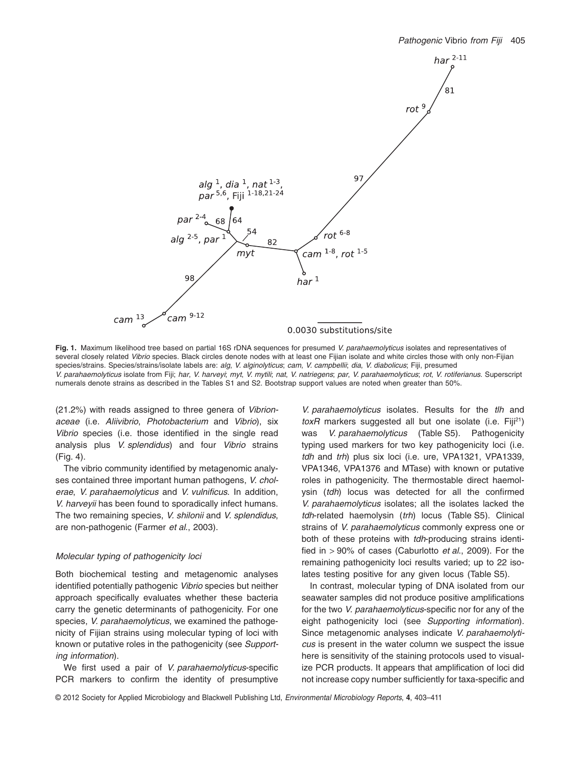

**Fig. 1.** Maximum likelihood tree based on partial 16S rDNA sequences for presumed *V. parahaemolyticus* isolates and representatives of several closely related *Vibrio* species. Black circles denote nodes with at least one Fijian isolate and white circles those with only non-Fijian species/strains. Species/strains/isolate labels are: *alg*, *V. alginolyticus*; *cam*, *V. campbellii*; *dia*, *V. diabolicus*; Fiji, presumed V. parahaemolyticus isolate from Fiji; har, V. harveyi; myt, V. mytili; nat, V. natriegens; par, V. parahaemolyticus; rot, V. rotiferianus. Superscript numerals denote strains as described in the Tables S1 and S2. Bootstrap support values are noted when greater than 50%.

(21.2%) with reads assigned to three genera of *Vibrionaceae* (i.e. *Aliivibrio*, *Photobacterium* and *Vibrio*), six *Vibrio* species (i.e. those identified in the single read analysis plus *V. splendidus*) and four *Vibrio* strains (Fig. 4).

The vibrio community identified by metagenomic analyses contained three important human pathogens, *V. cholerae*, *V. parahaemolyticus* and *V. vulnificus*. In addition, *V. harveyii* has been found to sporadically infect humans. The two remaining species, *V. shilonii* and *V. splendidus*, are non-pathogenic (Farmer *et al*., 2003).

## *Molecular typing of pathogenicity loci*

Both biochemical testing and metagenomic analyses identified potentially pathogenic *Vibrio* species but neither approach specifically evaluates whether these bacteria carry the genetic determinants of pathogenicity. For one species, *V. parahaemolyticus*, we examined the pathogenicity of Fijian strains using molecular typing of loci with known or putative roles in the pathogenicity (see *Supporting information*).

We first used a pair of *V. parahaemolyticus*-specific PCR markers to confirm the identity of presumptive

*V. parahaemolyticus* isolates. Results for the *tlh* and toxR markers suggested all but one isolate (i.e. Fiji<sup>21</sup>) was *V. parahaemolyticus* (Table S5). Pathogenicity typing used markers for two key pathogenicity loci (i.e. *tdh* and *trh*) plus six loci (i.e. ure, VPA1321, VPA1339, VPA1346, VPA1376 and MTase) with known or putative roles in pathogenicity. The thermostable direct haemolysin (*tdh*) locus was detected for all the confirmed *V. parahaemolyticus* isolates; all the isolates lacked the *tdh*-related haemolysin (*trh*) locus (Table S5). Clinical strains of *V. parahaemolyticus* commonly express one or both of these proteins with *tdh*-producing strains identified in > 90% of cases (Caburlotto *et al*., 2009). For the remaining pathogenicity loci results varied; up to 22 isolates testing positive for any given locus (Table S5).

In contrast, molecular typing of DNA isolated from our seawater samples did not produce positive amplifications for the two *V. parahaemolyticus*-specific nor for any of the eight pathogenicity loci (see *Supporting information*). Since metagenomic analyses indicate *V. parahaemolyticus* is present in the water column we suspect the issue here is sensitivity of the staining protocols used to visualize PCR products. It appears that amplification of loci did not increase copy number sufficiently for taxa-specific and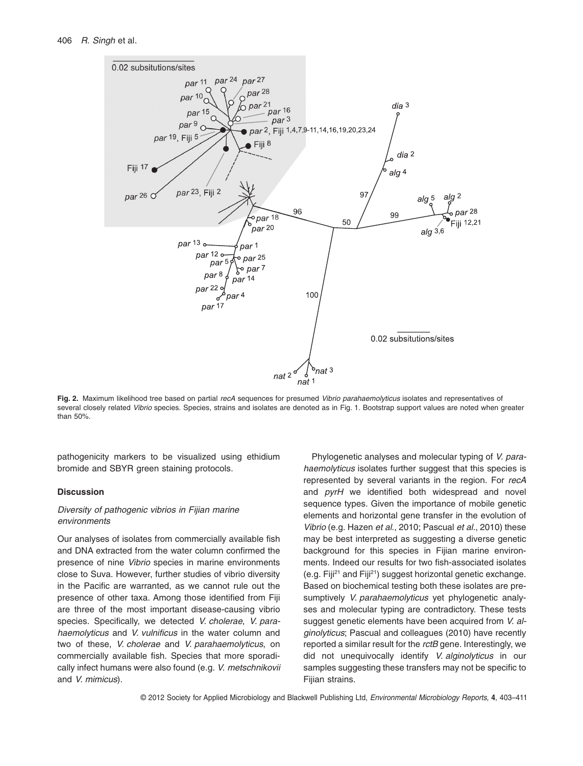

**Fig. 2.** Maximum likelihood tree based on partial *recA* sequences for presumed *Vibrio parahaemolyticus* isolates and representatives of several closely related *Vibrio* species. Species, strains and isolates are denoted as in Fig. 1. Bootstrap support values are noted when greater than 50%.

pathogenicity markers to be visualized using ethidium bromide and SBYR green staining protocols.

## **Discussion**

# *Diversity of pathogenic vibrios in Fijian marine environments*

Our analyses of isolates from commercially available fish and DNA extracted from the water column confirmed the presence of nine *Vibrio* species in marine environments close to Suva. However, further studies of vibrio diversity in the Pacific are warranted, as we cannot rule out the presence of other taxa. Among those identified from Fiji are three of the most important disease-causing vibrio species. Specifically, we detected *V. cholerae*, *V. parahaemolyticus* and *V. vulnificus* in the water column and two of these, *V. cholerae* and *V. parahaemolyticus*, on commercially available fish. Species that more sporadically infect humans were also found (e.g. *V. metschnikovii* and *V. mimicus*).

Phylogenetic analyses and molecular typing of *V. parahaemolyticus* isolates further suggest that this species is represented by several variants in the region. For *recA* and *pyrH* we identified both widespread and novel sequence types. Given the importance of mobile genetic elements and horizontal gene transfer in the evolution of *Vibrio* (e.g. Hazen *et al*., 2010; Pascual *et al*., 2010) these may be best interpreted as suggesting a diverse genetic background for this species in Fijian marine environments. Indeed our results for two fish-associated isolates (e.g. Fiji<sup>21</sup> and Fiji<sup>21</sup>) suggest horizontal genetic exchange. Based on biochemical testing both these isolates are presumptively *V. parahaemolyticus* yet phylogenetic analyses and molecular typing are contradictory. These tests suggest genetic elements have been acquired from *V. alginolyticus*; Pascual and colleagues (2010) have recently reported a similar result for the *rctB* gene. Interestingly, we did not unequivocally identify *V. alginolyticus* in our samples suggesting these transfers may not be specific to Fiiian strains.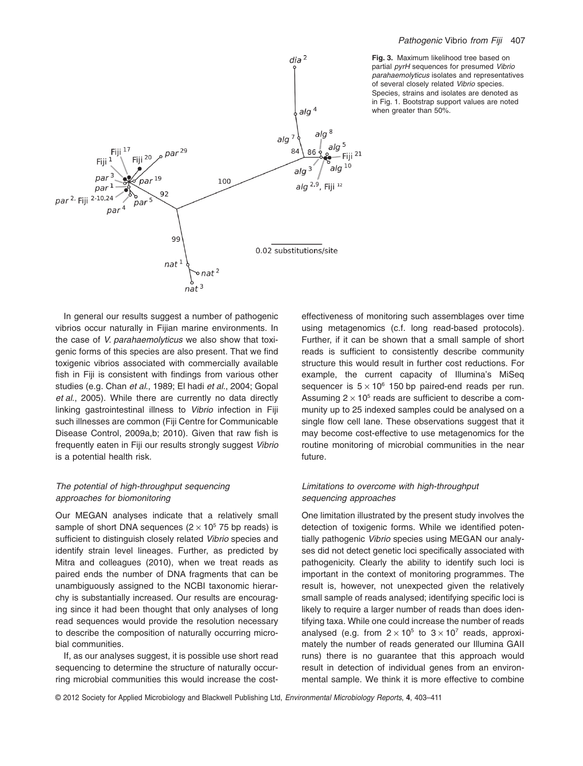



In general our results suggest a number of pathogenic vibrios occur naturally in Fijian marine environments. In the case of *V. parahaemolyticus* we also show that toxigenic forms of this species are also present. That we find toxigenic vibrios associated with commercially available fish in Fiji is consistent with findings from various other studies (e.g. Chan *et al*., 1989; El hadi *et al*., 2004; Gopal *et al*., 2005). While there are currently no data directly linking gastrointestinal illness to *Vibrio* infection in Fiji such illnesses are common (Fiji Centre for Communicable Disease Control, 2009a,b; 2010). Given that raw fish is frequently eaten in Fiji our results strongly suggest *Vibrio* is a potential health risk.

# *The potential of high-throughput sequencing approaches for biomonitoring*

Our MEGAN analyses indicate that a relatively small sample of short DNA sequences  $(2 \times 10^5 75$  bp reads) is sufficient to distinguish closely related *Vibrio* species and identify strain level lineages. Further, as predicted by Mitra and colleagues (2010), when we treat reads as paired ends the number of DNA fragments that can be unambiguously assigned to the NCBI taxonomic hierarchy is substantially increased. Our results are encouraging since it had been thought that only analyses of long read sequences would provide the resolution necessary to describe the composition of naturally occurring microbial communities.

If, as our analyses suggest, it is possible use short read sequencing to determine the structure of naturally occurring microbial communities this would increase the costeffectiveness of monitoring such assemblages over time using metagenomics (c.f. long read-based protocols). Further, if it can be shown that a small sample of short reads is sufficient to consistently describe community structure this would result in further cost reductions. For example, the current capacity of Illumina's MiSeq sequencer is  $5 \times 10^6$  150 bp paired-end reads per run. Assuming  $2 \times 10^5$  reads are sufficient to describe a community up to 25 indexed samples could be analysed on a single flow cell lane. These observations suggest that it may become cost-effective to use metagenomics for the routine monitoring of microbial communities in the near future.

# *Limitations to overcome with high-throughput sequencing approaches*

One limitation illustrated by the present study involves the detection of toxigenic forms. While we identified potentially pathogenic *Vibrio* species using MEGAN our analyses did not detect genetic loci specifically associated with pathogenicity. Clearly the ability to identify such loci is important in the context of monitoring programmes. The result is, however, not unexpected given the relatively small sample of reads analysed; identifying specific loci is likely to require a larger number of reads than does identifying taxa. While one could increase the number of reads analysed (e.g. from  $2 \times 10^5$  to  $3 \times 10^7$  reads, approximately the number of reads generated our Illumina GAII runs) there is no guarantee that this approach would result in detection of individual genes from an environmental sample. We think it is more effective to combine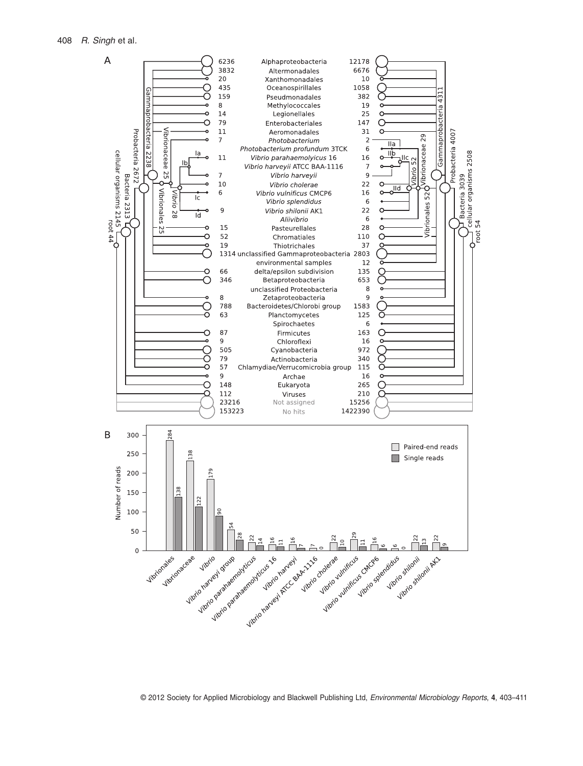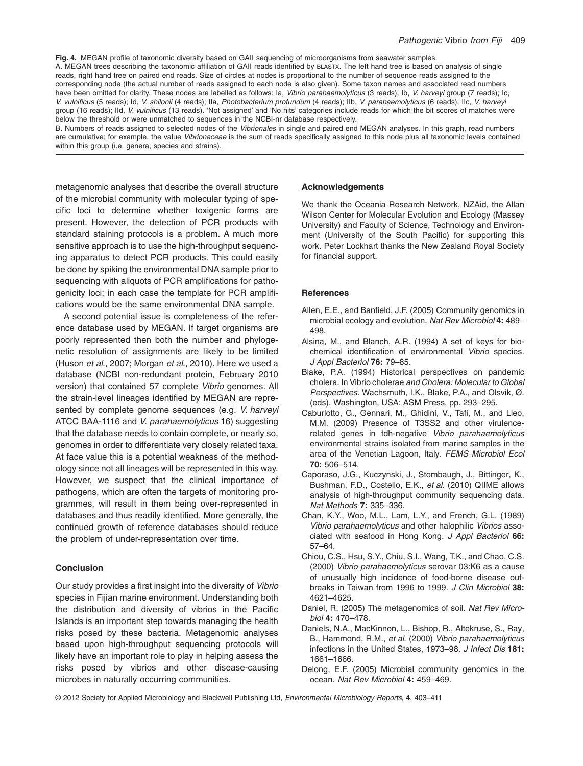**Fig. 4.** MEGAN profile of taxonomic diversity based on GAII sequencing of microorganisms from seawater samples. A. MEGAN trees describing the taxonomic affiliation of GAII reads identified by BLASTX. The left hand tree is based on analysis of single reads, right hand tree on paired end reads. Size of circles at nodes is proportional to the number of sequence reads assigned to the corresponding node (the actual number of reads assigned to each node is also given). Some taxon names and associated read numbers have been omitted for clarity. These nodes are labelled as follows: Ia, *Vibrio parahaemolyticus* (3 reads); Ib, *V. harveyi* group (7 reads); Ic, *V. vulnificus* (5 reads); Id, *V. shilonii* (4 reads); IIa, *Photobacterium profundum* (4 reads); IIb, *V. parahaemolyticus* (6 reads); IIc, *V. harveyi* group (16 reads); IId, *V. vulnificus* (13 reads). 'Not assigned' and 'No hits' categories include reads for which the bit scores of matches were below the threshold or were unmatched to sequences in the NCBI-nr database respectively.

B. Numbers of reads assigned to selected nodes of the *Vibrionales* in single and paired end MEGAN analyses. In this graph, read numbers are cumulative; for example, the value *Vibrionaceae* is the sum of reads specifically assigned to this node plus all taxonomic levels contained within this group (i.e. genera, species and strains).

metagenomic analyses that describe the overall structure of the microbial community with molecular typing of specific loci to determine whether toxigenic forms are present. However, the detection of PCR products with standard staining protocols is a problem. A much more sensitive approach is to use the high-throughput sequencing apparatus to detect PCR products. This could easily be done by spiking the environmental DNA sample prior to sequencing with aliquots of PCR amplifications for pathogenicity loci; in each case the template for PCR amplifications would be the same environmental DNA sample.

A second potential issue is completeness of the reference database used by MEGAN. If target organisms are poorly represented then both the number and phylogenetic resolution of assignments are likely to be limited (Huson *et al*., 2007; Morgan *et al*., 2010). Here we used a database (NCBI non-redundant protein, February 2010 version) that contained 57 complete *Vibrio* genomes. All the strain-level lineages identified by MEGAN are represented by complete genome sequences (e.g. *V. harveyi* ATCC BAA-1116 and *V. parahaemolyticus* 16) suggesting that the database needs to contain complete, or nearly so, genomes in order to differentiate very closely related taxa. At face value this is a potential weakness of the methodology since not all lineages will be represented in this way. However, we suspect that the clinical importance of pathogens, which are often the targets of monitoring programmes, will result in them being over-represented in databases and thus readily identified. More generally, the continued growth of reference databases should reduce the problem of under-representation over time.

# **Conclusion**

Our study provides a first insight into the diversity of *Vibrio* species in Fijian marine environment. Understanding both the distribution and diversity of vibrios in the Pacific Islands is an important step towards managing the health risks posed by these bacteria. Metagenomic analyses based upon high-throughput sequencing protocols will likely have an important role to play in helping assess the risks posed by vibrios and other disease-causing microbes in naturally occurring communities.

#### **Acknowledgements**

We thank the Oceania Research Network, NZAid, the Allan Wilson Center for Molecular Evolution and Ecology (Massey University) and Faculty of Science, Technology and Environment (University of the South Pacific) for supporting this work. Peter Lockhart thanks the New Zealand Royal Society for financial support.

## **References**

- Allen, E.E., and Banfield, J.F. (2005) Community genomics in microbial ecology and evolution. *Nat Rev Microbiol* **4:** 489– 498.
- Alsina, M., and Blanch, A.R. (1994) A set of keys for biochemical identification of environmental *Vibrio* species. *J Appl Bacteriol* **76:** 79–85.
- Blake, P.A. (1994) Historical perspectives on pandemic cholera. In Vibrio cholerae *and Cholera: Molecular to Global Perspectives*. Wachsmuth, I.K., Blake, P.A., and Olsvik, Ø. (eds). Washington, USA: ASM Press, pp. 293–295.
- Caburlotto, G., Gennari, M., Ghidini, V., Tafi, M., and Lleo, M.M. (2009) Presence of T3SS2 and other virulencerelated genes in tdh-negative *Vibrio parahaemolyticus* environmental strains isolated from marine samples in the area of the Venetian Lagoon, Italy. *FEMS Microbiol Ecol* **70:** 506–514.
- Caporaso, J.G., Kuczynski, J., Stombaugh, J., Bittinger, K., Bushman, F.D., Costello, E.K., *et al*. (2010) QIIME allows analysis of high-throughput community sequencing data. *Nat Methods* **7:** 335–336.
- Chan, K.Y., Woo, M.L., Lam, L.Y., and French, G.L. (1989) *Vibrio parahaemolyticus* and other halophilic *Vibrios* associated with seafood in Hong Kong. *J Appl Bacteriol* **66:** 57–64.
- Chiou, C.S., Hsu, S.Y., Chiu, S.I., Wang, T.K., and Chao, C.S. (2000) *Vibrio parahaemolyticus* serovar 03:K6 as a cause of unusually high incidence of food-borne disease outbreaks in Taiwan from 1996 to 1999. *J Clin Microbiol* **38:** 4621–4625.
- Daniel, R. (2005) The metagenomics of soil. *Nat Rev Microbiol* **4:** 470–478.
- Daniels, N.A., MacKinnon, L., Bishop, R., Altekruse, S., Ray, B., Hammond, R.M., *et al*. (2000) *Vibrio parahaemolyticus* infections in the United States, 1973–98. *J Infect Dis* **181:** 1661–1666.
- Delong, E.F. (2005) Microbial community genomics in the ocean. *Nat Rev Microbiol* **4:** 459–469.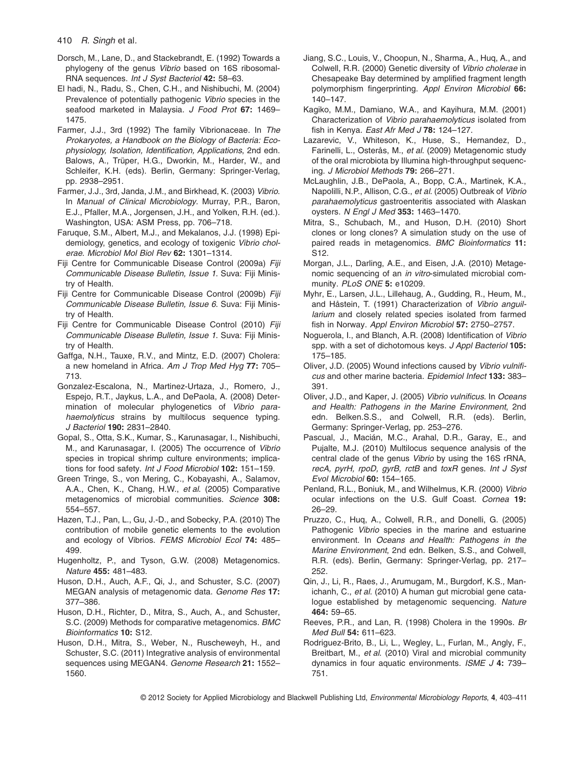- Dorsch, M., Lane, D., and Stackebrandt, E. (1992) Towards a phylogeny of the genus *Vibrio* based on 16S ribosomal-RNA sequences. *Int J Syst Bacteriol* **42:** 58–63.
- El hadi, N., Radu, S., Chen, C.H., and Nishibuchi, M. (2004) Prevalence of potentially pathogenic *Vibrio* species in the seafood marketed in Malaysia. *J Food Prot* **67:** 1469– 1475.
- Farmer, J.J., 3rd (1992) The family Vibrionaceae. In *The Prokaryotes, a Handbook on the Biology of Bacteria: Ecophysiology, Isolation, Identification, Applications*, 2nd edn. Balows, A., Trüper, H.G., Dworkin, M., Harder, W., and Schleifer, K.H. (eds). Berlin, Germany: Springer-Verlag, pp. 2938–2951.
- Farmer, J.J., 3rd, Janda, J.M., and Birkhead, K. (2003) *Vibrio*. In *Manual of Clinical Microbiology*. Murray, P.R., Baron, E.J., Pfaller, M.A., Jorgensen, J.H., and Yolken, R.H. (ed.). Washington, USA: ASM Press, pp. 706–718.
- Faruque, S.M., Albert, M.J., and Mekalanos, J.J. (1998) Epidemiology, genetics, and ecology of toxigenic *Vibrio cholerae*. *Microbiol Mol Biol Rev* **62:** 1301–1314.
- Fiji Centre for Communicable Disease Control (2009a) *Fiji Communicable Disease Bulletin, Issue 1*. Suva: Fiji Ministry of Health.
- Fiji Centre for Communicable Disease Control (2009b) *Fiji Communicable Disease Bulletin, Issue 6*. Suva: Fiji Ministry of Health.
- Fiji Centre for Communicable Disease Control (2010) *Fiji Communicable Disease Bulletin, Issue 1*. Suva: Fiji Ministry of Health.
- Gaffga, N.H., Tauxe, R.V., and Mintz, E.D. (2007) Cholera: a new homeland in Africa. *Am J Trop Med Hyg* **77:** 705– 713.
- Gonzalez-Escalona, N., Martinez-Urtaza, J., Romero, J., Espejo, R.T., Jaykus, L.A., and DePaola, A. (2008) Determination of molecular phylogenetics of *Vibrio parahaemolyticus* strains by multilocus sequence typing. *J Bacteriol* **190:** 2831–2840.
- Gopal, S., Otta, S.K., Kumar, S., Karunasagar, I., Nishibuchi, M., and Karunasagar, I. (2005) The occurrence of *Vibrio* species in tropical shrimp culture environments; implications for food safety. *Int J Food Microbiol* **102:** 151–159.
- Green Tringe, S., von Mering, C., Kobayashi, A., Salamov, A.A., Chen, K., Chang, H.W., *et al*. (2005) Comparative metagenomics of microbial communities. *Science* **308:** 554–557.
- Hazen, T.J., Pan, L., Gu, J.-D., and Sobecky, P.A. (2010) The contribution of mobile genetic elements to the evolution and ecology of Vibrios. *FEMS Microbiol Ecol* **74:** 485– 499.
- Hugenholtz, P., and Tyson, G.W. (2008) Metagenomics. *Nature* **455:** 481–483.
- Huson, D.H., Auch, A.F., Qi, J., and Schuster, S.C. (2007) MEGAN analysis of metagenomic data. *Genome Res* **17:** 377–386.
- Huson, D.H., Richter, D., Mitra, S., Auch, A., and Schuster, S.C. (2009) Methods for comparative metagenomics. *BMC Bioinformatics* **10:** S12.
- Huson, D.H., Mitra, S., Weber, N., Ruscheweyh, H., and Schuster, S.C. (2011) Integrative analysis of environmental sequences using MEGAN4. *Genome Research* **21:** 1552– 1560.
- Jiang, S.C., Louis, V., Choopun, N., Sharma, A., Huq, A., and Colwell, R.R. (2000) Genetic diversity of *Vibrio cholerae* in Chesapeake Bay determined by amplified fragment length polymorphism fingerprinting. *Appl Environ Microbiol* **66:** 140–147.
- Kagiko, M.M., Damiano, W.A., and Kayihura, M.M. (2001) Characterization of *Vibrio parahaemolyticus* isolated from fish in Kenya. *East Afr Med J* **78:** 124–127.
- Lazarevic, V., Whiteson, K., Huse, S., Hernandez, D., Farinelli, L., Osterås, M., *et al*. (2009) Metagenomic study of the oral microbiota by Illumina high-throughput sequencing. *J Microbiol Methods* **79:** 266–271.
- McLaughlin, J.B., DePaola, A., Bopp, C.A., Martinek, K.A., Napolilli, N.P., Allison, C.G., *et al*. (2005) Outbreak of *Vibrio parahaemolyticus* gastroenteritis associated with Alaskan oysters. *N Engl J Med* **353:** 1463–1470.
- Mitra, S., Schubach, M., and Huson, D.H. (2010) Short clones or long clones? A simulation study on the use of paired reads in metagenomics. *BMC Bioinformatics* **11:** S12.
- Morgan, J.L., Darling, A.E., and Eisen, J.A. (2010) Metagenomic sequencing of an *in vitro*-simulated microbial community. *PLoS ONE* **5:** e10209.
- Myhr, E., Larsen, J.L., Lillehaug, A., Gudding, R., Heum, M., and Håstein, T. (1991) Characterization of *Vibrio anguillarium* and closely related species isolated from farmed fish in Norway. *Appl Environ Microbiol* **57:** 2750–2757.
- Noguerola, I., and Blanch, A.R. (2008) Identification of *Vibrio* spp. with a set of dichotomous keys. *J Appl Bacteriol* **105:** 175–185.
- Oliver, J.D. (2005) Wound infections caused by *Vibrio vulnificus* and other marine bacteria. *Epidemiol Infect* **133:** 383– 391.
- Oliver, J.D., and Kaper, J. (2005) *Vibrio vulnificus*. In *Oceans and Health: Pathogens in the Marine Environment*, 2nd edn. Belken.S.S., and Colwell, R.R. (eds). Berlin, Germany: Springer-Verlag, pp. 253–276.
- Pascual, J., Macián, M.C., Arahal, D.R., Garay, E., and Pujalte, M.J. (2010) Multilocus sequence analysis of the central clade of the genus *Vibrio* by using the 16S rRNA, *recA, pyrH, rpoD, gyrB, rctB* and *toxR* genes. *Int J Syst Evol Microbiol* **60:** 154–165.
- Penland, R.L., Boniuk, M., and Wilhelmus, K.R. (2000) *Vibrio* ocular infections on the U.S. Gulf Coast. *Cornea* **19:** 26–29.
- Pruzzo, C., Huq, A., Colwell, R.R., and Donelli, G. (2005) Pathogenic *Vibrio* species in the marine and estuarine environment. In *Oceans and Health: Pathogens in the Marine Environment*, 2nd edn. Belken, S.S., and Colwell, R.R. (eds). Berlin, Germany: Springer-Verlag, pp. 217– 252.
- Qin, J., Li, R., Raes, J., Arumugam, M., Burgdorf, K.S., Manichanh, C., *et al*. (2010) A human gut microbial gene catalogue established by metagenomic sequencing. *Nature* **464:** 59–65.
- Reeves, P.R., and Lan, R. (1998) Cholera in the 1990s. *Br Med Bull* **54:** 611–623.
- Rodriguez-Brito, B., Li, L., Wegley, L., Furlan, M., Angly, F., Breitbart, M., *et al*. (2010) Viral and microbial community dynamics in four aquatic environments. *ISME J* **4:** 739– 751.